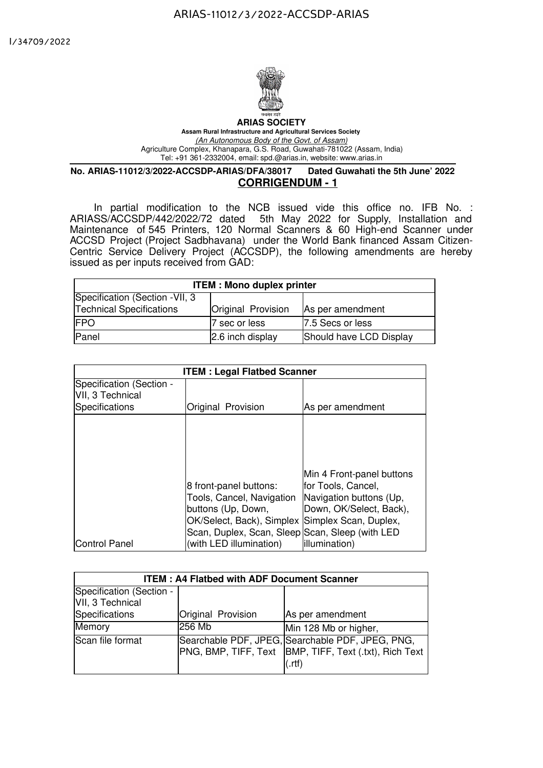

## **ARIAS SOCIETY Assam Rural Infrastructure and Agricultural Services Society** *(An Autonomous Body of the Govt. of Assam)* Agriculture Complex, Khanapara, G.S. Road, Guwahati-781022 (Assam, India) Tel: +91 361-2332004, email: spd.@arias.in, website: www.arias.in

**No. ARIAS-11012/3/2022-ACCSDP-ARIAS/DFA/38017 Dated Guwahati the 5th June' 2022 CORRIGENDUM - 1**

In partial modification to the NCB issued vide this office no. IFB No. : ARIASS/ACCSDP/442/2022/72 dated 5th May 2022 for Supply, Installation and Maintenance of 545 Printers, 120 Normal Scanners & 60 High-end Scanner under ACCSD Project (Project Sadbhavana) under the World Bank financed Assam Citizen-Centric Service Delivery Project (ACCSDP), the following amendments are hereby issued as per inputs received from GAD:

| <b>ITEM: Mono duplex printer</b> |                    |                         |  |  |  |  |  |
|----------------------------------|--------------------|-------------------------|--|--|--|--|--|
| Specification (Section - VII, 3  |                    |                         |  |  |  |  |  |
| <b>Technical Specifications</b>  | Original Provision | As per amendment        |  |  |  |  |  |
| <b>IFPO</b>                      | 7 sec or less      | 7.5 Secs or less        |  |  |  |  |  |
| Panel                            | 2.6 inch display   | Should have LCD Display |  |  |  |  |  |

|                                                                                                                                                           | <b>ITEM: Legal Flatbed Scanner</b>                                                                                                              |  |  |  |  |  |  |  |
|-----------------------------------------------------------------------------------------------------------------------------------------------------------|-------------------------------------------------------------------------------------------------------------------------------------------------|--|--|--|--|--|--|--|
|                                                                                                                                                           |                                                                                                                                                 |  |  |  |  |  |  |  |
| Original Provision                                                                                                                                        | As per amendment                                                                                                                                |  |  |  |  |  |  |  |
| 8 front-panel buttons:<br>Tools, Cancel, Navigation<br>buttons (Up, Down,<br>OK/Select, Back), Simplex<br>Scan, Duplex, Scan, Sleep Scan, Sleep (with LED | Min 4 Front-panel buttons<br>for Tools, Cancel,<br>Navigation buttons (Up,<br>Down, OK/Select, Back),<br>Simplex Scan, Duplex,<br>illumination) |  |  |  |  |  |  |  |
|                                                                                                                                                           | (with LED illumination)                                                                                                                         |  |  |  |  |  |  |  |

| <b>ITEM: A4 Flatbed with ADF Document Scanner</b> |                    |                                                                                                                            |  |  |  |  |  |  |
|---------------------------------------------------|--------------------|----------------------------------------------------------------------------------------------------------------------------|--|--|--|--|--|--|
| Specification (Section -<br>VII, 3 Technical      |                    |                                                                                                                            |  |  |  |  |  |  |
| Specifications                                    | Original Provision | As per amendment                                                                                                           |  |  |  |  |  |  |
| Memory                                            | 256 Mb             | Min 128 Mb or higher,                                                                                                      |  |  |  |  |  |  |
| Scan file format                                  |                    | Searchable PDF, JPEG, Searchable PDF, JPEG, PNG,<br>PNG, BMP, TIFF, Text  BMP, TIFF, Text (.txt), Rich Text<br>$.$ rtf $)$ |  |  |  |  |  |  |